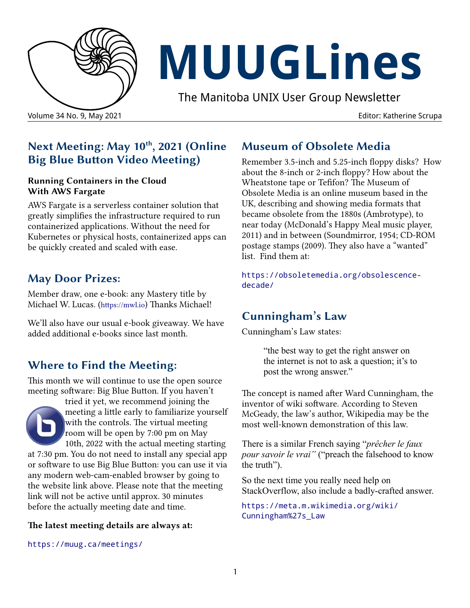

# **MUUGLines**

The Manitoba UNIX User Group Newsletter

#### **Next Meeting: May 10th, 2021 (Online Big Blue Button Video Meeting)**

#### **Running Containers in the Cloud With AWS Fargate**

AWS Fargate is a serverless container solution that greatly simplifies the infrastructure required to run containerized applications. Without the need for Kubernetes or physical hosts, containerized apps can be quickly created and scaled with ease.

#### **May Door Prizes:**

Member draw, one e-book: any Mastery title by Michael W. Lucas. ([https://mwl.io](https://mwl.io/)) Thanks Michael!

We'll also have our usual e-book giveaway. We have added additional e-books since last month.

#### **Where to Find the Meeting:**

This month we will continue to use the open source meeting software: Big Blue Button. If you haven't



#### **The latest meeting details are always at:**

<https://muug.ca/meetings/>

#### **Museum of Obsolete Media**

Remember 3.5-inch and 5.25-inch floppy disks? How about the 8-inch or 2-inch floppy? How about the Wheatstone tape or Tefifon? The Museum of Obsolete Media is an online museum based in the UK, describing and showing media formats that became obsolete from the 1880s (Ambrotype), to near today (McDonald's Happy Meal music player, 2011) and in between (Soundmirror, 1954; CD-ROM postage stamps (2009). They also have a "wanted" list. Find them at:

[https://obsoletemedia.org/obsolescence](https://obsoletemedia.org/obsolescence-decade/)[decade/](https://obsoletemedia.org/obsolescence-decade/)

#### **Cunningham's Law**

Cunningham's Law states:

"the best way to get the right answer on the internet is not to ask a question; it's to post the wrong answer."

The concept is named after Ward Cunningham, the inventor of wiki software. According to Steven McGeady, the law's author, Wikipedia may be the most well-known demonstration of this law.

There is a similar French saying "*prêcher le faux pour savoir le vrai"* ("preach the falsehood to know the truth").

So the next time you really need help on StackOverflow, also include a badly-crafted answer.

[https://meta.m.wikimedia.org/wiki/](https://meta.m.wikimedia.org/wiki/Cunningham) [Cunningham%27s\\_Law](https://meta.m.wikimedia.org/wiki/Cunningham)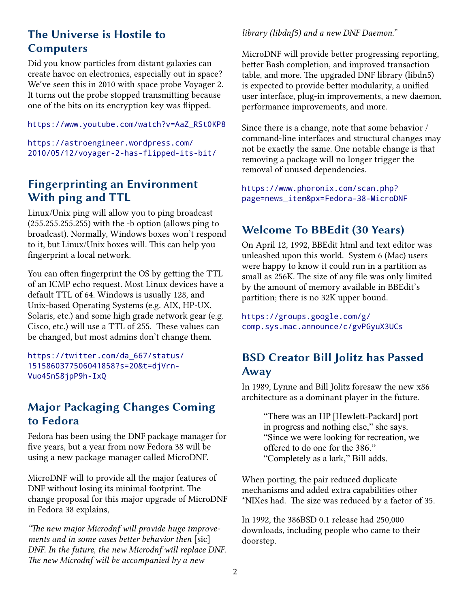#### **The Universe is Hostile to Computers**

Did you know particles from distant galaxies can create havoc on electronics, especially out in space? We've seen this in 2010 with space probe Voyager 2. It turns out the probe stopped transmitting because one of the bits on its encryption key was flipped.

#### [https://www.youtube.com/watch?v=AaZ\\_RSt0KP8](https://www.youtube.com/watch?v=AaZ_RSt0KP8)

[https://astroengineer.wordpress.com/](https://astroengineer.wordpress.com/2010/05/12/voyager-2-has-flipped-its-bit/) [2010/05/12/voyager-2-has-flipped-its-bit/](https://astroengineer.wordpress.com/2010/05/12/voyager-2-has-flipped-its-bit/)

#### **Fingerprinting an Environment With ping and TTL**

Linux/Unix ping will allow you to ping broadcast (255.255.255.255) with the -b option (allows ping to broadcast). Normally, Windows boxes won't respond to it, but Linux/Unix boxes will. This can help you fingerprint a local network.

You can often fingerprint the OS by getting the TTL of an ICMP echo request. Most Linux devices have a default TTL of 64. Windows is usually 128, and Unix-based Operating Systems (e.g. AIX, HP-UX, Solaris, etc.) and some high grade network gear (e.g. Cisco, etc.) will use a TTL of 255. These values can be changed, but most admins don't change them.

[https://twitter.com/da\\_667/status/](https://twitter.com/da_667/status/1515860377506041858?s=20&t=djVrnVuo4SnS8jpP9h-IxQ) [1515860377506041858?s=20&t=djVrn-](https://twitter.com/da_667/status/1515860377506041858?s=20&t=djVrnVuo4SnS8jpP9h-IxQ)[Vuo4SnS8jpP9h-IxQ](https://twitter.com/da_667/status/1515860377506041858?s=20&t=djVrnVuo4SnS8jpP9h-IxQ)

#### **Major Packaging Changes Coming to Fedora**

Fedora has been using the DNF package manager for five years, but a year from now Fedora 38 will be using a new package manager called MicroDNF.

MicroDNF will to provide all the major features of DNF without losing its minimal footprint. The change proposal for this major upgrade of MicroDNF in Fedora 38 explains,

*"The new major Microdnf will provide huge improvements and in some cases better behavior then* [sic] *DNF. In the future, the new Microdnf will replace DNF. The new Microdnf will be accompanied by a new* 

#### *library (libdnf5) and a new DNF Daemon."*

MicroDNF will provide better progressing reporting, better Bash completion, and improved transaction table, and more. The upgraded DNF library (libdn5) is expected to provide better modularity, a unified user interface, plug-in improvements, a new daemon, performance improvements, and more.

Since there is a change, note that some behavior / command-line interfaces and structural changes may not be exactly the same. One notable change is that removing a package will no longer trigger the removal of unused dependencies.

[https://www.phoronix.com/scan.php?](https://www.phoronix.com/scan.php?page=news_item&px=Fedora-38-MicroDNF) [page=news\\_item&px=Fedora-38-MicroDNF](https://www.phoronix.com/scan.php?page=news_item&px=Fedora-38-MicroDNF)

#### **Welcome To BBEdit (30 Years)**

On April 12, 1992, BBEdit html and text editor was unleashed upon this world. System 6 (Mac) users were happy to know it could run in a partition as small as 256K. The size of any file was only limited by the amount of memory available in BBEdit's partition; there is no 32K upper bound.

[https://groups.google.com/g/](https://groups.google.com/g/comp.sys.mac.announce/c/gvPGyuX3UCs) [comp.sys.mac.announce/c/gvPGyuX3UCs](https://groups.google.com/g/comp.sys.mac.announce/c/gvPGyuX3UCs)

#### **BSD Creator Bill Jolitz has Passed Away**

In 1989, Lynne and Bill Jolitz foresaw the new x86 architecture as a dominant player in the future.

> "There was an HP [Hewlett-Packard] port in progress and nothing else," she says. "Since we were looking for recreation, we offered to do one for the 386." "Completely as a lark," Bill adds.

When porting, the pair reduced duplicate mechanisms and added extra capabilities other \*NIXes had. The size was reduced by a factor of 35.

In 1992, the 386BSD 0.1 release had 250,000 downloads, including people who came to their doorstep.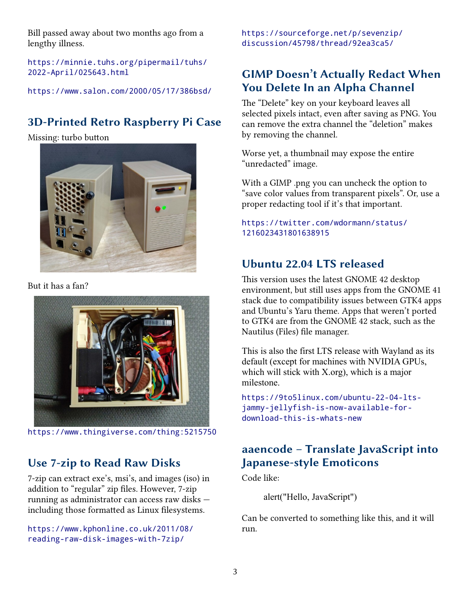Bill passed away about two months ago from a lengthy illness.

[https://minnie.tuhs.org/pipermail/tuhs/](https://minnie.tuhs.org/pipermail/tuhs/2022-April/025643.html) [2022-April/025643.html](https://minnie.tuhs.org/pipermail/tuhs/2022-April/025643.html)

<https://www.salon.com/2000/05/17/386bsd/>

### **3D-Printed Retro Raspberry Pi Case**

Missing: turbo button



But it has a fan?



<https://www.thingiverse.com/thing:5215750>

# **Use 7-zip to Read Raw Disks**

7-zip can extract exe's, msi's, and images (iso) in addition to "regular" zip files. However, 7-zip running as administrator can access raw disks including those formatted as Linux filesystems.

[https://www.kphonline.co.uk/2011/08/](https://www.kphonline.co.uk/2011/08/reading-raw-disk-images-with-7zip/) [reading-raw-disk-images-with-7zip/](https://www.kphonline.co.uk/2011/08/reading-raw-disk-images-with-7zip/)

[https://sourceforge.net/p/sevenzip/](https://sourceforge.net/p/sevenzip/discussion/45798/thread/92ea3ca5/) [discussion/45798/thread/92ea3ca5/](https://sourceforge.net/p/sevenzip/discussion/45798/thread/92ea3ca5/)

# **GIMP Doesn't Actually Redact When You Delete In an Alpha Channel**

The "Delete" key on your keyboard leaves all selected pixels intact, even after saving as PNG. You can remove the extra channel the "deletion" makes by removing the channel.

Worse yet, a thumbnail may expose the entire "unredacted" image.

With a GIMP .png you can uncheck the option to "save color values from transparent pixels". Or, use a proper redacting tool if it's that important.

```
https://twitter.com/wdormann/status/
1216023431801638915
```
## **[Ubuntu 22.04 LTS released](https://www.osnews.com/story/134811/ubuntu-22-04-lts-released/)**

This version uses the latest GNOME 42 desktop environment, but still uses apps from the GNOME 41 stack due to compatibility issues between GTK4 apps and Ubuntu's Yaru theme. Apps that weren't ported to GTK4 are from the GNOME 42 stack, such as the Nautilus (Files) file manager.

This is also the first LTS release with Wayland as its default (except for machines with NVIDIA GPUs, which will stick with X.org), which is a major milestone.

[https://9to5linux.com/ubuntu-22-04-lts](https://9to5linux.com/ubuntu-22-04-lts-jammy-jellyfish-is-now-available-for-download-this-is-whats-new)[jammy-jellyfish-is-now-available-for](https://9to5linux.com/ubuntu-22-04-lts-jammy-jellyfish-is-now-available-for-download-this-is-whats-new)[download-this-is-whats-new](https://9to5linux.com/ubuntu-22-04-lts-jammy-jellyfish-is-now-available-for-download-this-is-whats-new)

# **aaencode – Translate JavaScript into Japanese-style Emoticons**

Code like:

alert("Hello, JavaScript")

Can be converted to something like this, and it will run.